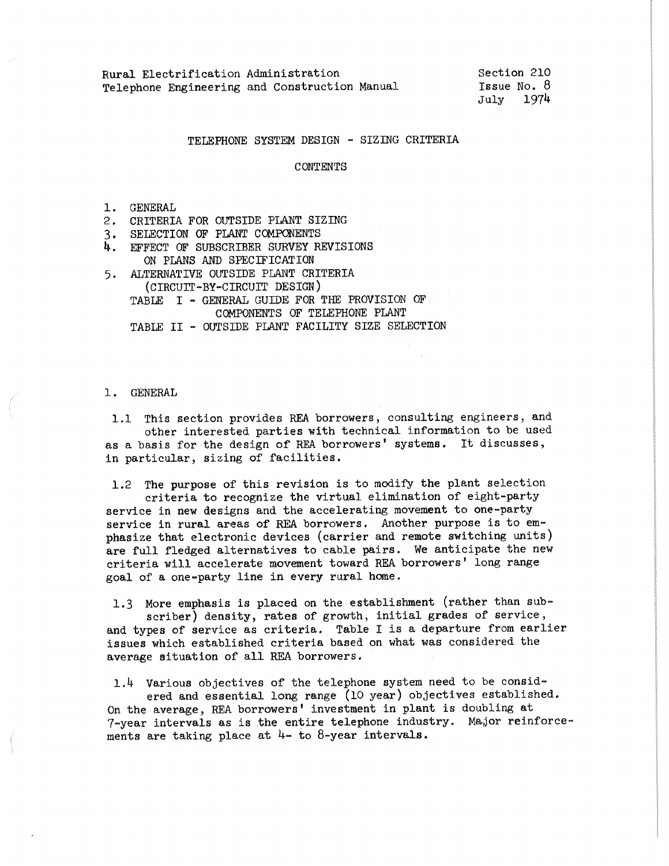Section 210 Issue No. 8 July 1974

### TELEPHONE SYSTEM DESIGN - SIZJNG CRITERIA

#### CONTENTS

- l. GENERAL
- 2. CRITERIA FOR OUTSIDE PLANT SIZJNG
- 3. SELECTION OF PLANT CCMPONENTS
- 4. EFFECT OF SUBSCRIBER SURVEY REVISIONS ON PLANS AND SPECIFICATION
- 5. ALTERNATIVE OUTSIDE PLANT CRITERIA (CIRCUIT-BY-CIRCUIT DESIGN) TABLE I - GENERAL GUIDE FOR THE PROVISION OF COMPONENTS OF TELEPHONE PLANT TABLE II - OUTSIDE PLANT FACILITY SIZE SELECTION

#### 1. GENERAL

1.1 This section provides REA borrowers, consulting engineers, and other interested parties with technical information to be used as a basis for the design of REA borrowers' systems. It discusses, in particular, sizing of facilities.

1.2 The purpose of this revision is to modify the plant selection criteria to recognize the virtual elimination of eight-party service in new designs and the accelerating movement to one-party service in rural areas of REA borrowers. Another purpose is to em<sup>p</sup>hasize that electronic devices (carrier and remote switching units)

are full fledged alternatives to cable pairs. We anticipate the new criteria will accelerate movement toward REA borrowers' long range goal of a one-party line in every rural home.

1,3 More emphasis is placed on the establishment (rather than subscriber) density, rates of growth, initial grades of service, and types of service as criteria. Table I is a departure from earlier issues which established criteria based on what was considered the average situation of all REA borrowers.

1.4 Various objectives of the telephone system need to be considered and essential long range (10 year) objectives established. On the average, REA borrowers' investment in plant is doubling at  $7$ -year intervals as is the entire telephone industry. Major reinforcements are taking place at 4- to 8-year intervals.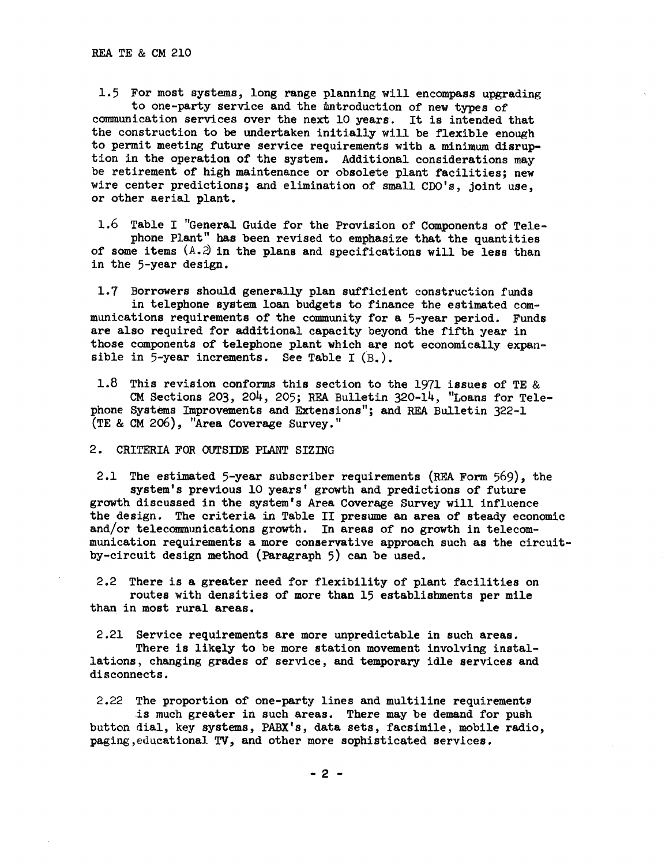1.5 For most systems, long range planning will encompass upgrading to one-party service and the introduction of new types of communication services over the next 10 years. It is intended that the construction to be undertaken initially will be flexible enough to permit meeting future service requirements with a minimum disruption in the operation of the system. Additional considerations may be retirement of high maintenance or obsolete plant facilities; new wire center predictions; and elimination of small CDO's, joint use, or other aerial plant.

1.6 Table I "General Guide for the Provision of Components of Telephone Plant" has been revised to emphasize that the quantities of some items  $(A.2)$  in the plans and specifications will be less than in the 5-year design.

1.7 Borrowers should generally plan sufficient construction funds in telephone system loan budgets to finance the estimated communications requirements of the community for a 5-year period. Funds are also required for additional capacity beyond the fifth year in those components of telephone plant which are not economically expansible in 5-year increments. See Table I (B.).

1.8 This revision conforms this section to the 1971 issues of TE & CM Sections 203, 204, 205; REA Bulletin 320-14, "Loans for Telephone Systems Improvements and Extensions"; and REA Bulletin 322-1 (TE & CM 206), "Area Coverage Survey."

### 2. CRITERIA FOR OUTSIDE PIANT SIZING

2.1 The estimated 5-year subscriber requirements (REA Form 569), the system's previous 10 years' growth and predictions of future growth discussed in the system's Area Coverage Survey will influence the design. The criteria in Table II presume an area of steady economic and/or telecommunications growth. In areas of no growth in telecommunication requirements a more conservative approach such as the circuitby-circuit design method (Paragraph 5) can be used.

2.2 There is a greater need for flexibility of plant facilities on routes with densities of more than 15 establishments per mile than in most rural areas.

2.21 Service requirements are more unpredictable in such areas.

There is likely to be more station movement involving installations, changing grades of service, and temporary idle services and disconnects.

2.22 The proportion of one-party lines and multiline requiremente .is much greater in such areas. There may be demand for push button dial, key systems, PABX's, data sets, facsimile, mobile radio, paging, educational TV, and other more sophisticated services.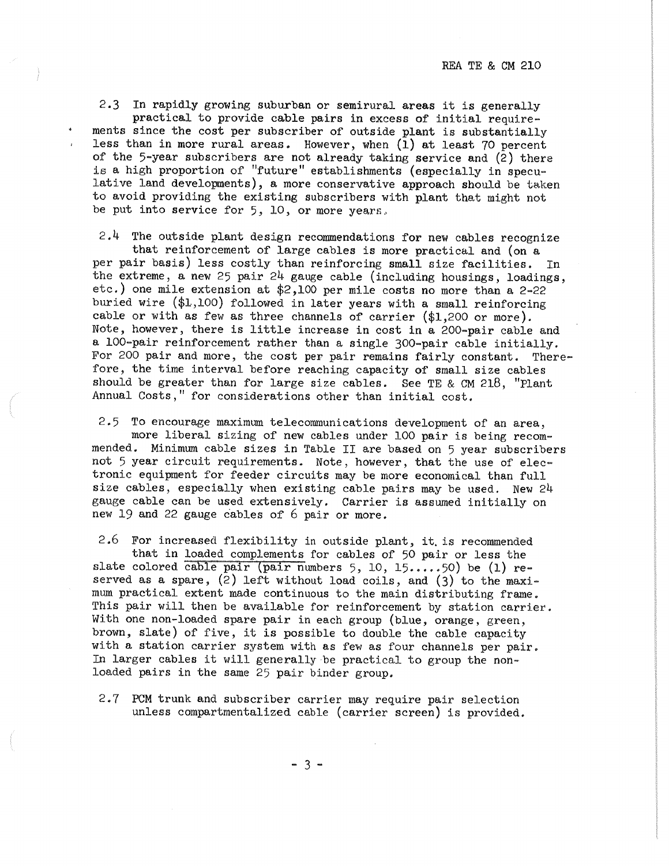2.3 In rapidly growing suburban or semirural areas it is generally practical to provide cable pairs in excess of initial requirements since the cost per subscriber of outside plant is substantially less than in more rural areas. However, when  $(\bar{1})$  at least 70 percent of the  $5$ -year subscribers are not already taking service and  $(2)$  there is a high proportion of "future" establishments (especially in speculative land developnents), a more conservative approach should be taken to avoid providing the existing subscribers with plant that might not be put into service for  $5$ ,  $10$ , or more years.

 $2.4$  The outside plant design recommendations for new cables recognize

that reinforcement of large cables is more practical and (on a per pair basis) less costly than reinforcing small size facilities. In the extreme, a new 25 pair 24 gauge cable (including housings, loadings, etc.) one mile extension at \$2,100 per mile costs no more than a 2-22 buried wire  $($1,100)$  followed in later years with a small reinforcing cable or with as few as three channels of carrier (\$1,200 or more). Note, however, there is little increase in cost in a 200-pair cable and a 100-pair reinforcement rather than a single 300-pair cable initially. For 200 pair and more, the cost per pair remains fairly constant. Therefore, the time interval before reaching capacity of small size cables should be greater than for large size cables. See TE & CM 218, "Plant Annual Costs," for considerations other than initial cost.

2.5 To encourage maximum telecommunications development of an area, more liberal sizing of new cables under 100 pair is being recommended. Minimum cable sizes in Table II are based on 5 year subscribers not 5 year circuit requirements. Note, however, that the use of electronic equipment for feeder circuits may be more economical than full size cables, especially when existing cable pairs may be used. New 24 gauge cable can be used extensively. Carrier is assumed initially on new 19 and 22 gauge cables of 6 pair or more.

2.6 For increased flexibility in outside plant, it. is recommended that in loaded complements for cables of 50 pair or less the slate colored cable pair (pair numbers 5, 10, 15.....50) be (1) reserved as a spare, (2) left without load coils, and (3) to the maximum practical extent made continuous to the main distributing frame. This pair will then be available for reinforcement by station carrier. With one non-loaded spare pair in each group (blue, orange, green, brown, slate) of five, it is possible to double the cable capacity with a station carrier system with as few as four channels per pair. In larger cables it will generally be practical to group the nonloaded pairs in the same 25 pair binder group.

2.7 PCM trunk and subscriber carrier may require pair selection unless compartmentalized cable (carrier screen) is provided.

- 3 -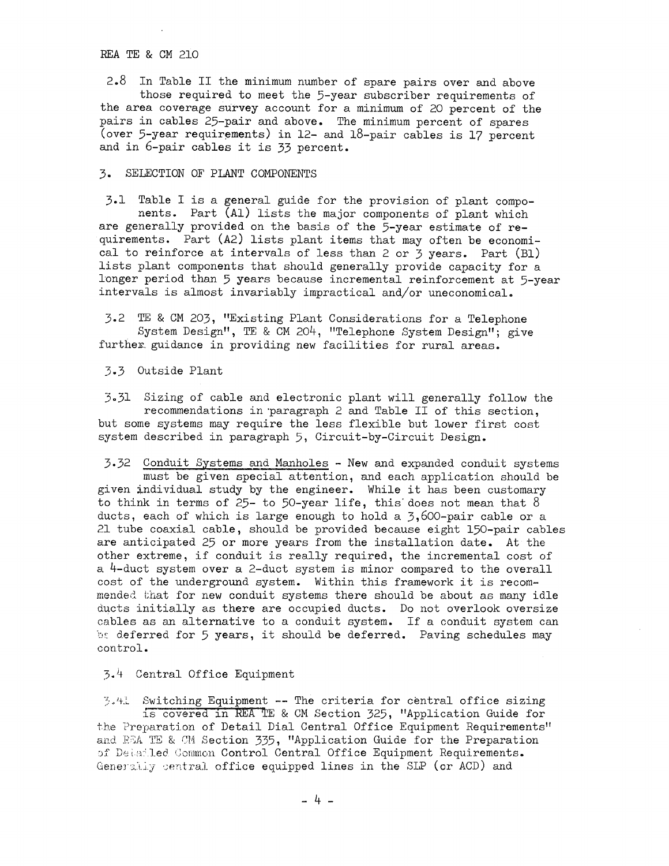### REA TE & CM 210

2.8 In Table II the minimum number of spare pairs over and above those required to meet the 5-year subscriber requirements of the area coverage survey account for a minimum of 20 percent of the pairs in cables 25-pair and above. The minimum percent of spares (over 5-year requirements) in 12- and 18-pair cables is 17 percent and in 6-pair cables it is 33 percent.

### 3. SELECTION OF PLANT COMPONENTS

3.1 Table I is a general guide for the provision of plant components. Part (Al) lists the major components of plant which are generally provided on the basis of the 5-year estimate of requirements. Part (A2) lists plant items that may often be economical to reinforce at intervals of less than 2 or 3 years. Part (Bl) lists plant components that should generally provide capacity for a longer period than 5 years because incremental reinforcement at 5-year intervals is almost invariably impractical and/or uneconomical.

3.2 TE & CM 203, "Existing Plant Considerations for a Telephone System Design", TE & CM 204, "Telephone System Design"; give further guidance in providing new facilities for rural areas.

3.3 Outside Plant

3.31 Sizing of cable and electronic plant will generally follow the recommendations in paragraph 2 and Table II of this section, but some systems may require the less flexible but lower first cost system described in paragraph 5, Circuit-by-Circuit Design.

3.32 Conduit Systems and Manholes - New and expanded conduit systems must be given special attention, and each application should be given individual study by the engineer. While it has been customary to think in terms of  $25$ - to  $50$ -year life, this does not mean that  $8$ ducts, each of which is large enough to hold a  $3,600$ -pair cable or a 21 tube coaxial cable, should be provided because eight 150-pair cables are anticipated 25 or more years from the installation date. At the other extreme, if conduit is really required, the incremental cost of a 4-duct system over a 2-duct system is minor compared to the overall cost of the underground system. Within this framework it is recommended that for new conduit systems there should be about as many idle ducts initially as there are occupied ducts. Do not overlook oversize cables as an alternative to a conduit system. If a conduit system can b: deferred for 5 years, it should be deferred. Paving schedules may control.

# 3.i+ Central Office Equipment

 $\mathbb{R}$ .4. Switching Equipment -- The criteria for central office sizing is covered in REA TE & CM Section 325, "Application Guide for the Preparation of Detail Dial Central Office Equipment Requirements" and EEA TE & CM Section 335, "Application Guide for the Preparation **of Detailed Common Control Central Office Equipment Requirements.** Generally central office equipped lines in the SIP (or ACD) and

- 4 -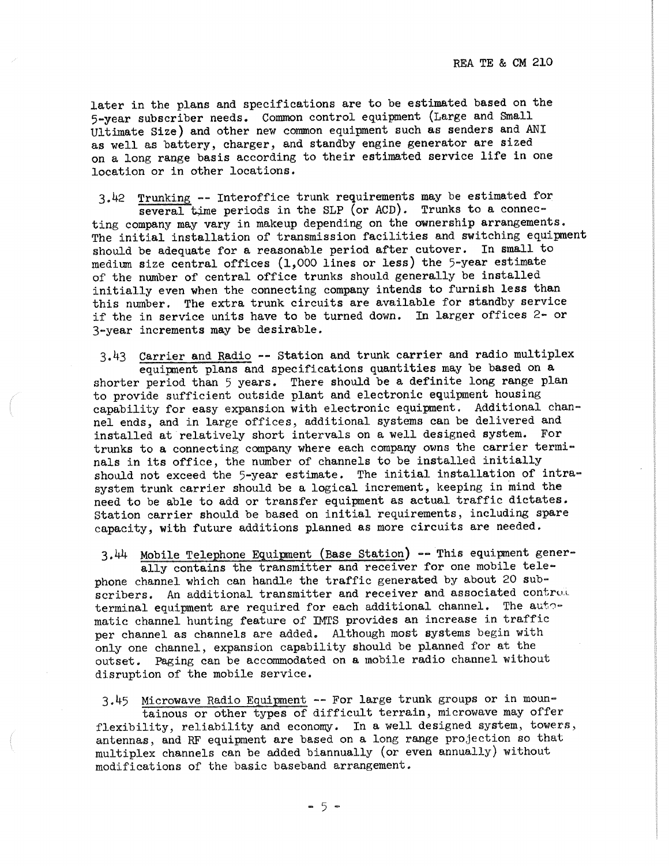later in the plans and specifications are to be estimated based on the 5-year subscriber needs. Common control equipment (Large and Small Ultimate Size) and other new common equipment such as senders and ANI as well as battery, charger, and standby engine generator are sized on a long range basis according to their estimated service life in one location or in other locations.

3.42 Trunking -- Interoffice trunk requirements may be estimated for several time periods in the SLP (or ACD). Trunks to a connecting company may vary in makeup depending on the ownership arrangements. The initial installation of transmission facilities and switching equipment should be adequate for a reasonable period after cutover. In small to medium size central offices (1,000 lines or less) the 5-year estimate of the number of central office trunks should generally be installed initially even when the connecting company intends to furnish less than this number. The extra trunk circuits are available for standby service if the in service units have to be turned down. In larger offices 2- or 3-year increments may be desirable.

3.43 Carrier and Radio -- Station and trunk carrier and radio multiplex equipment plans and specifications quantities may be based on a shorter period than 5 years. There should be a definite long range plan to provide sufficient outside plant and electronic equipment housing capability for easy expansion with electronic equipment, Additional channel ends, and in large offices, additional systems can be delivered and installed at relatively short intervals on a well designed system. For trunks to a connecting company where each company owns the carrier terminals in its office, the number of channels to be installed initially should not exceed the 5-year estimate. The initial installation of intrasystem trunk carrier should be a logical increment, keeping in mind the need to be able to add or transfer equipment as actual traffic dictates. Station carrier should be based on initial requirements, including spare capacity, with future additions planned as more circuits are needed.

3.44 Mobile Telephone Equipnent (Base Station) -- This equipment gener-

ally contains the transmitter and receiver for one mobile telephone channel which can handle the traffic generated by about 20 subscribers. An additional transmitter and receiver and associated control. terminal equipment are required for each additional channel. The automatic channel hunting feature of IMTS provides an increase in traffic per channel as channels are added. Although most systems begin with only one channel, expansion capability should be planned for at the outset. Paging can be accommodated on a mobile radio channel without disruption of the mobile service.

3.45 Microwave Radio Equipnent -- For large trunk groups or in mountainous or other types of difficult terrain, microwave may offer flexibility, reliability and economy. In a well designed system, towers, antennas, and RF equipment are based on a long range projection so that multiplex channels can be added biannually (or even annually) without modifications of the basic baseband arrangement.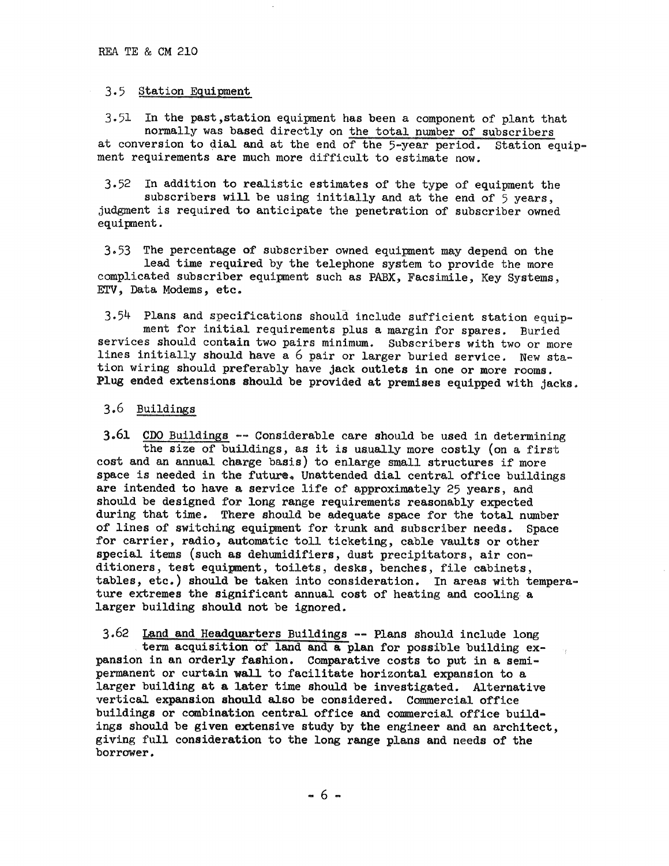### 3.5 Station Equipment

 $3.51$  In the past, station equipment has been a component of plant that normally was based directly on the total number of subscribers at conversion to dial and at the end of the 5-year period. Station ed at conversion to dial and at the end of the 5-year period. Station equip- ment requirements are much more difficult to estimate now.

3.52 In addition to realistic estimates of the type of equipment the subscribers will be using initially and at the end of 5 years, judgment is required to anticipate the penetration of subscriber owned equipment.

3.53 The percentage of subscriber owned equipment may depend on the lead time required by the telephone system to provide the more complicated subscriber equipment such as PABX, Facsimile, Key Systems, ETV, Data Modems, etc.

3.54 Plans and specifications should include sufficient station equipment for initial requirements plus a margin for spares. Buried services should contain two pairs minimum. Subscribers with two or more lines initially should have a 6 pair or larger buried service. New station wiring should preferably have jack outlets in one or more rooms. Plug ended extensions should be provided at premises equipped with jacks.

## 3.6 Buildings

3.61 CDO Buildings -- Considerable care should be used in determining the size of buildings, as it is usually more costly (on a first cost and an annual charge basis) to enlarge small structures if more space is needed in the future. Unattended dial central office buildings are intended to have a service life of approximately 25 years, and should be designed for long range requirements reasonably expected during that time. There should be adequate space for the total number of lines of switching equipment for trunk and subscriber needs. Space for carrier, radio, automatic toll ticketing, cable vaults or other special items (such as dehumidifiers, dust precipitators, air conditioners, test equipnent, toilets, desks, benches, file cabinets, tables, etc.) should be taken into consideration. In areas with temperature extremes the significant annual cost of heating and cooling a larger building should not be ignored.

3.62 Land and Headquarters Buildings -- Plans should include long term acquisition of land and a plan for possible building expansion in an orderly fashion. Comparative costs to put in a semipermanent or curtain wall to facilitate horizontal expansion to a larger building at a later time should be investigated. Alternative vertical expansion should also be considered. Commercial office buildings or combination central office and commercial office buildings should be given extensive study by the engineer and an architect, <sup>g</sup>iving full consideration to the long range plans and needs of the borrower.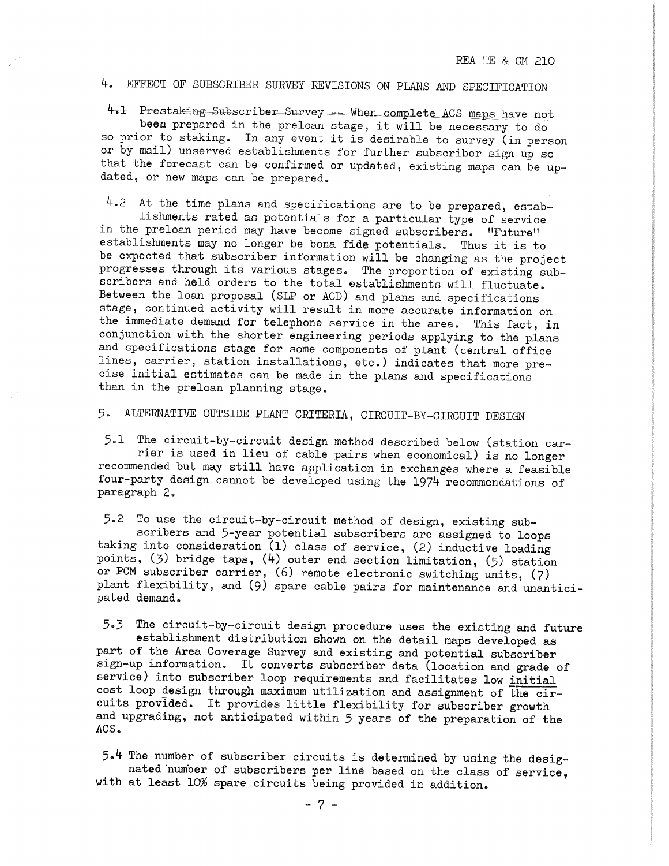# 4. EFFECT OF SUBSCRIBER SURVEY REVISIONS ON PLANS AND SPECIFICATION

4.1 Prestaking Subscriber Survey -- When complete ACS maps have not

**been** prepared in the preloan stage, it will be necessary to do so prior to staking. In any event it is desirable to survey (in person or by mail) unserved establishments for further subscriber sign up so that the forecast can be confirmed or updated, existing maps can be updated, or new maps can be prepared.

4.2 At the time plans and specifications are to be prepared, establishments rated as potentials for a particular type of service in the preloan period may have become signed subscribers. "Future" establishments may no longer be bona fide potentials. Thus it is to be expected that subscriber information will be changing as the project progresses through its various stages. The proportion of existing subscribers and held orders to the total establishments will fluctuate. Between the loan proposal (SLP or ACD) and plans and specifications stage, continued activity will result in more accurate information on the immediate demand for telephone service in the area. This fact, in conjunction with the shorter engineering periods applying to the plans and specifications stage for some components of plant (central office lines, carrier, station installations, etc.) indicates that more precise initial estimates can be made in the plans and specifications than in the preloan planning stage.

5. ALTERNATIVE OUTSIDE PLANT CRITERIA, CIRCUIT-BY-CIRCUIT DESIGN

5.1 The circuit-by-circuit design method described below (station carrier is used in lieu of cable pairs when economical) is no longer recommended but may still have application in exchanges where a feasible four-party design cannot be developed using the 1974 recommendations of paragraph 2.

5.2 To use the circuit-by-circuit method of design, existing sub-

scribers and 5-year potential subscribers are assigned to loops taking into consideration (1) class of service, (2) inductive loading points, (3) bridge taps, (4) outer end section limitation, (5) station or PCM subscriber carrier, (6) remote electronic switching units, (7) plant flexibility, and (9) spare cable pairs for maintenance and unanticipated demand.

5.3 The circuit-by-circuit design procedure uses the existing and future establishment distribution shown on the detail maps developed as part of the Area Coverage Survey and existing and potential subscriber sign-up information. It converts subscriber data (location and grade of service) into subscriber loop requirements and facilitates low initial cost loop design through maximum utilization and assignment of the circuits provided. It provides little flexibility for subscriber growth and upgrading, not anticipated within 5 years of the preparation of the ACS.

5.4 The number of subscriber circuits is determined by using the designated number of subscribers per line based on the class of service, with at least 10% spare circuits being provided in addition.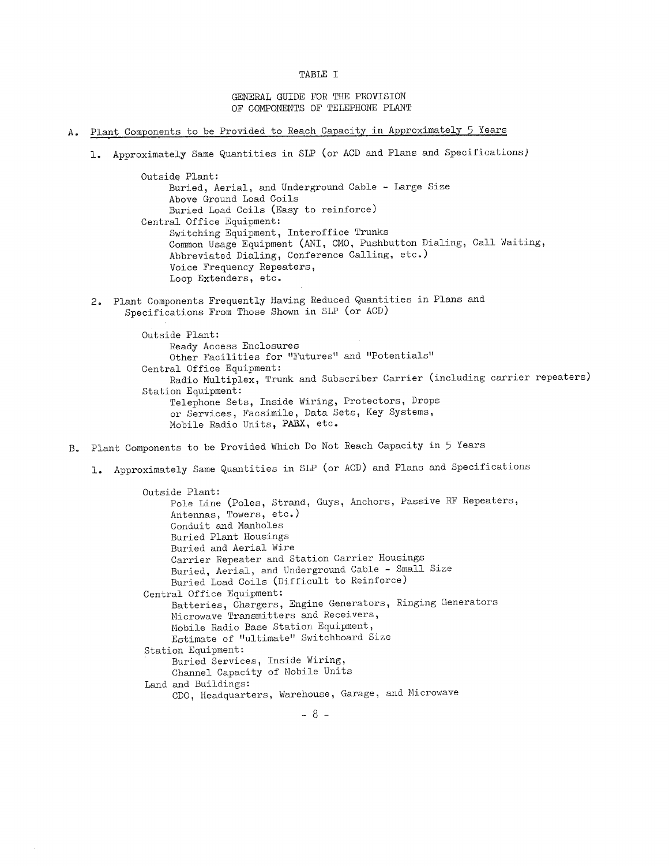```
TABLE I
```
GENERAL GUIDE FOR THE PROVISION OF COMPONENTS OF TELEPHONE PLANT

- A. Plant Components to be Provided to Reach Capacity in Approximately 5 Years
	- 1. Approximately Same Quantities in SLP (or ACD and Plans and Specifications)

Outside Plant: Buried, Aerial, and Underground Cable - Large Size Above Ground Load Coils Buried Load Coils (Easy to reinforce) Central Office Equipment: Switching Equipment, Interoffice Trunks Common Usage Equipment (ANI, CMO, Pushbutton Dialing, Call Waiting, Abbreviated Dialing, Conference Calling, etc.) Voice Frequency Repeaters, Loop Extenders, etc.

2. Plant Components Frequently Having Reduced Quantities in Plans and Specifications From Those Shown in SLP (or ACD)

> Outside Plant: Ready Access Enclosures Other Facilities for "Futures" and "Potentials" Central Office Equipment: Radio Multiplex, Trunk and Subscriber Carrier (including carrier repeaters) Station Equipment: Telephone Sets, Inside Wiring, Protectors, Drops or Services, Facsimile, Data Sets, Key Systems, Mobile Radio Units, **PABX,** etc.

- B. Plant Components to be Provided Which Do Not Reach Capacity in 5 Years
	- 1. Approximately Same Quantities in SLP (or ACD) and Plans and Specifications

Outside Plant: Pole Line (Poles, Strand, Guys, Anchors, Passive RF Repeaters, Antennas, Towers, etc.) Conduit and Manholes Buried Plant Housings Buried and Aerial Wire Carrier Repeater and Station Carrier Housings Buried, Aerial, and Underground Cable - Small Size Buried Load Coils (Difficult to Reinforce) Central Office Equipment: Batteries, Chargers, Engine Generators, Ringing Generators Microwave Transmitters and Receivers, Mobile Radio Base Station Equipment, Estimate of "ultimate" Switchboard Size Station Equipment: Buried Services, Inside Wiring, Channel Capacity of Mobile Units Land and Buildings: CDO, Headquarters, Warehouse, Garage, and Microwave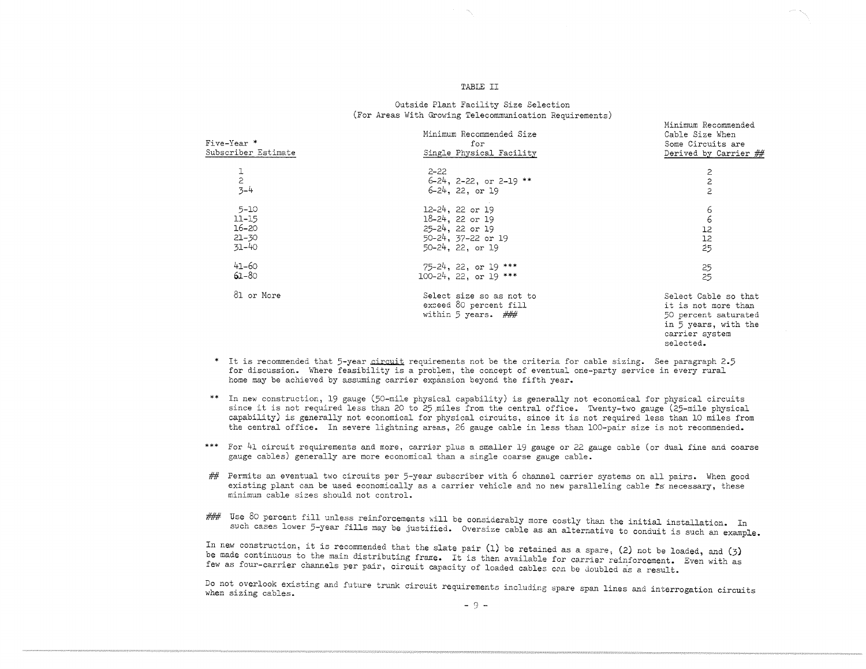#### TABLE II

#### Outside Plant Facility Size Selection (For Areas With Growing Telecommunication Requirements)

Minimum Recommended

| Five-Year *<br>Subscriber Estimate | Minimum Recommended Size<br>for<br>Single Physical Facility                | Cable Size When<br>Some Circuits are<br>Derived by Carrier ##                                                              |
|------------------------------------|----------------------------------------------------------------------------|----------------------------------------------------------------------------------------------------------------------------|
| 1                                  | $2 - 22$                                                                   | 2                                                                                                                          |
| $\overline{c}$                     | $6-24$ , 2-22, or 2-19 **                                                  | $\overline{c}$                                                                                                             |
| $3 - 4$                            | $6-24$ , 22, or 19                                                         | 2                                                                                                                          |
| $5 - 10$                           | 12-24, 22 or 19                                                            | 6                                                                                                                          |
| $11 - 15$                          | $18-24$ , 22 or 19                                                         | 6                                                                                                                          |
| $16 - 20$                          | 25-24, 22 or 19                                                            | 12                                                                                                                         |
| $21 - 30$                          | 50-24, 37-22 or 19                                                         | 12                                                                                                                         |
| 31-40                              | $50-24$ , 22, or 19                                                        | $\dot{2}5$                                                                                                                 |
| 41–60                              | $75-24$ , 22, or 19 ***                                                    | 25                                                                                                                         |
| $61 - 80$                          | $100-24$ , 22, or 19 ***                                                   | 25                                                                                                                         |
| 81 or More                         | Select size so as not to<br>exceed 80 percent fill<br>within 5 years. $\#$ | Select Cable so that<br>it is not more than<br>50 percent saturated<br>in 5 years, with the<br>carrier system<br>selected. |

\* It is recommended that 5-year **circuit** requirements not be the criteria for cable sizing. See paragraph 2.5 for discussion. Where feasibility is a problem, the concept of eventual one-party service in every rural home may be achieved by assuming carrier expansion beyond the fifth year.

\*\* In new construction, 19 gauge (50-mile physical capability) is generally not economical for physical circui since it is not required less than 20 to 25 miles from the central office. Twenty-two gauge (25-mile physical capability) *is* generally not economical for physical circuits, since it is not required less than 10 miles from the central office. In severe lightning areas, 26 gauge cable in less than 100-pair size is not recommended.

\*\*\* For 41 circuit requirements and more, carrier plus a smaller 19 gauge or 22 gauge cable (or dual fine and coarse gauge cables) generally are more economical than a single coarse gauge cable.

*##*  Permits an eventual two circuits per 5-year subscriber with 6 channel carrier systems on all pairs. When good existing plant can be used economically as a carrier vehicle and no new paralleling cable is necessary, these minimum cable sizes should not control.

### Use 80 percent fill unless reinforcements will be considerably more costly than the initial installation. In USE 80 percent fill under the initial more considerably more considerably more considerably than the initial such an example.

In new construction, it is recommended that the slate pair (1) be retained as a spare, (2) not be loaded, and (3) be made continuous to the main distributing frame. It is then available for carrier reinforcement. Even with as<br>few as four-cerrier channels promove unit is then available for carrier reinforcement. Even with as few as four-carrier channels per pair, circuit capacity of loaded cables con be doubled as a result.

Do not overlook existing and future trunk circuit requirements including spare span lines and interrogation circuits when sizing cables.